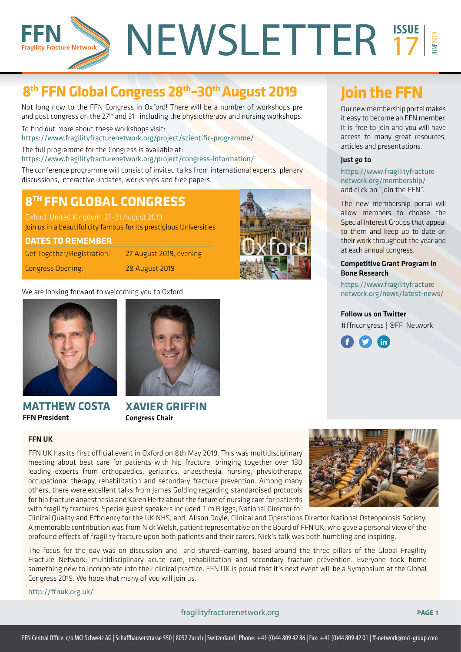# NEWSLETTER<sup>137</sup>  $\frac{1}{2}$ **Fragility Fracture Network**

## **8th FFN Global Congress 28th–30th August 2019 Join the FFN**

Not long now to the FFN Congress in Oxford! There will be a number of workshops pre and post congress on the  $27<sup>th</sup>$  and  $31<sup>st</sup>$  including the physiotherapy and nursing workshops.

To find out more about these workshops visit: https://www.fragilityfracturenetwork.org/project/scientific-programme/

The full programme for the Congress is available at:

https://www.fragilityfracturenetwork.org/project/congress-information/

The conference programme will consist of invited talks from international experts, plenary discussions, interactive updates, workshops and free papers.

## **8TH FFN GLOBAL CONGRESS**

Oxford, United Kingdom, 27–31 August 2019

Join us in a beautiful city famous for its prestigious Universities

#### **DATES TO REMEMBER**

Get Together/Registration: 27 August 2019, evening

Congress Opening: 28 August 2019



We are looking forward to welcoming you to Oxford.



## **MATTHEW COSTA** FFN President



**XAVIER GRIFFIN** Congress Chair

Our new membership portal makes it easy to become an FFN member. It is free to join and you will have access to many great resources, articles and presentations.

#### Just go to

https://www.fragilityfracture network.org/membership/ and click on "Join the FFN".

The new membership portal will allow members to choose the Special Interest Groups that appeal to them and keep up to date on their work throughout the year and at each annual congress.

#### Competitive Grant Program in Bone Research

https://www.fragilityfracture network.org/news/latest-news/

### Follow us on Twitter #ffncongress | @FF\_Network



FFN UK

FFN UK has its first official event in Oxford on 8th May 2019. This was multidisciplinary meeting about best care for patients with hip fracture, bringing together over 130 leading experts from orthopaedics, geriatrics, anaesthesia, nursing, physiotherapy, occupational therapy, rehabilitation and secondary fracture prevention. Among many others, there were excellent talks from James Golding regarding standardised protocols for hip fracture anaesthesia and Karen Hertz about the future of nursing care for patients with fragility fractures. Special guest speakers included Tim Briggs, National Director for

Clinical Quality and Efficiency for the UK NHS, and Alison Doyle, Clinical and Operations Director National Osteoporosis Society. A memorable contribution was from Nick Welsh, patient representative on the Board of FFN UK, who gave a personal view of the profound effects of fragility fracture upon both patients and their carers. Nick's talk was both humbling and inspiring.

The focus for the day was on discussion and and shared-learning, based around the three pillars of the Global Fragility Fracture Network: multidisciplinary acute care, rehabilitation and secondary fracture prevention. Everyone took home something new to incorporate into their clinical practice. FFN UK is proud that it's next event will be a Symposium at the Global Congress 2019. We hope that many of you will join us.

http://ffnuk.org.uk/

fragilityfracturenetwork.org **PAGE 1**